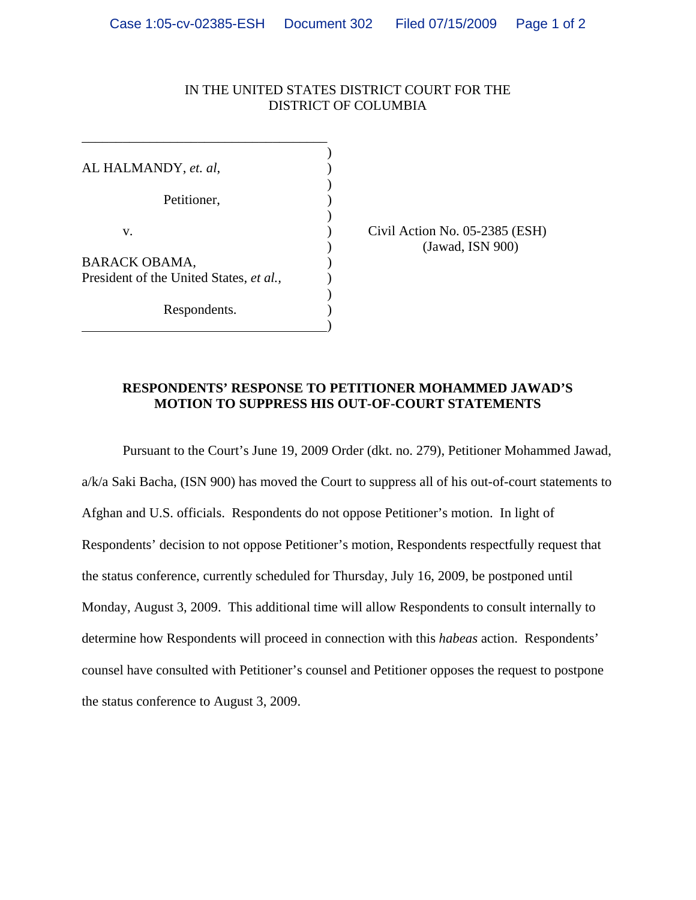## IN THE UNITED STATES DISTRICT COURT FOR THE DISTRICT OF COLUMBIA

 $\overline{\phantom{a}}$ AL HALMANDY, *et. al*,  $)$ Petitioner,  $)$ v. Civil Action No. 05-2385 (ESH) BARACK OBAMA,  $($ President of the United States, *et al.,* )  $)$ Respondents. )

 $\overline{\phantom{a}}$ 

\_\_\_\_\_\_\_\_\_\_\_\_\_\_\_\_\_\_\_\_\_\_\_\_\_\_\_\_\_\_\_\_\_\_\_\_

) (Jawad, ISN 900)

## **RESPONDENTS' RESPONSE TO PETITIONER MOHAMMED JAWAD'S MOTION TO SUPPRESS HIS OUT-OF-COURT STATEMENTS**

Pursuant to the Court's June 19, 2009 Order (dkt. no. 279), Petitioner Mohammed Jawad, a/k/a Saki Bacha, (ISN 900) has moved the Court to suppress all of his out-of-court statements to Afghan and U.S. officials. Respondents do not oppose Petitioner's motion. In light of Respondents' decision to not oppose Petitioner's motion, Respondents respectfully request that the status conference, currently scheduled for Thursday, July 16, 2009, be postponed until Monday, August 3, 2009. This additional time will allow Respondents to consult internally to determine how Respondents will proceed in connection with this *habeas* action. Respondents' counsel have consulted with Petitioner's counsel and Petitioner opposes the request to postpone the status conference to August 3, 2009.